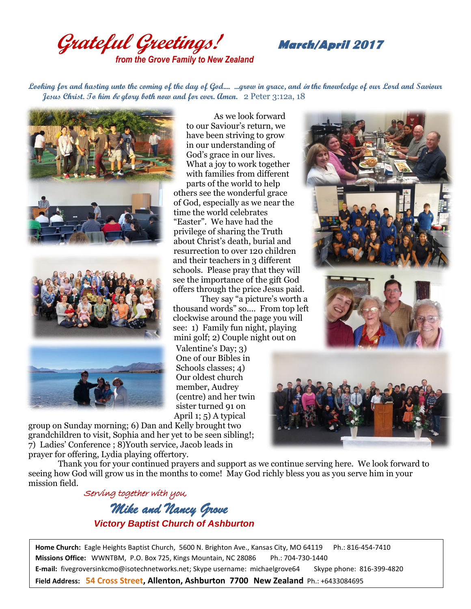**Grateful Greetings! March/April <sup>2017</sup>** *from the Grove Family to New Zealand*

**Looking for and hasting unto the coming of the day of God.... ...grow in grace, and in the knowledge of our Lord and Saviour Jesus Christ. To him be glory both now and for ever. Amen.** 2 Peter 3:12a, 18



As we look forward to our Saviour's return, we have been striving to grow in our understanding of God's grace in our lives. What a joy to work together with families from different parts of the world to help

others see the wonderful grace of God, especially as we near the time the world celebrates "Easter". We have had the privilege of sharing the Truth about Christ's death, burial and resurrection to over 120 children and their teachers in 3 different schools. Please pray that they will see the importance of the gift God offers through the price Jesus paid.

They say "a picture's worth a thousand words" so.... From top left clockwise around the page you will see: 1) Family fun night, playing mini golf; 2) Couple night out on

Valentine's Day; 3) One of our Bibles in Schools classes; 4) Our oldest church member, Audrey (centre) and her twin sister turned 91 on April 1; 5) A typical

group on Sunday morning; 6) Dan and Kelly brought two grandchildren to visit, Sophia and her yet to be seen sibling!; 7) Ladies' Conference ; 8)Youth service, Jacob leads in prayer for offering, Lydia playing offertory.

Thank you for your continued prayers and support as we continue serving here. We look forward to seeing how God will grow us in the months to come! May God richly bless you as you serve him in your mission field.

## Serving together with you, *Mike and Nancy Grove Victory Baptist Church of Ashburton*

**Home Church:** Eagle Heights Baptist Church, 5600 N. Brighton Ave., Kansas City, MO 64119 Ph.: 816-454-7410 **Missions Office:** WWNTBM, P.O. Box 725, Kings Mountain, NC 28086 Ph.: 704-730-1440 **E-mail:** fivegroversinkcmo@isotechnetworks.net; Skype username: michaelgrove64 Skype phone: 816-399-4820 **Field Address: 54 Cross Street, Allenton, Ashburton 7700 New Zealand** Ph.: +6433084695